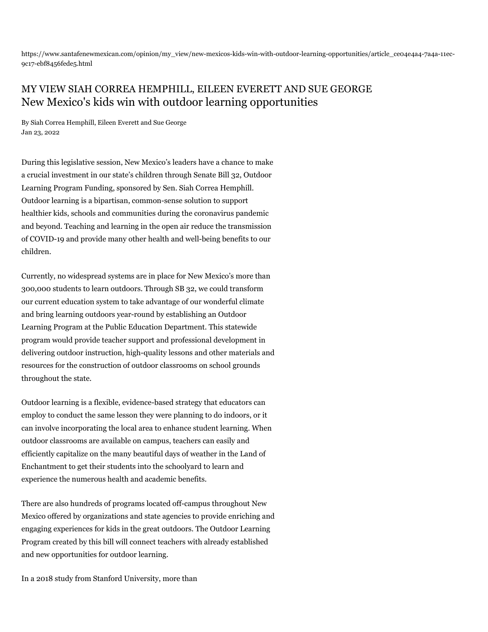https://www.santafenewmexican.com/opinion/my\_view/new-mexicos-kids-win-with-outdoor-learning-opportunities/article\_ce04e4a4-7a4a-11ec-9c17-ebf8456fede5.html

## MY VIEW SIAH CORREA HEMPHILL, EILEEN EVERETT AND SUE GEORGE New Mexico's kids win with outdoor learning opportunities

By Siah Correa Hemphill, Eileen Everett and Sue George Jan 23, 2022

During this legislative session, New Mexico's leaders have a chance to make a crucial investment in our state's children through Senate Bill 32, Outdoor Learning Program Funding, sponsored by Sen. Siah Correa Hemphill. Outdoor learning is a bipartisan, common-sense solution to support healthier kids, schools and communities during the coronavirus pandemic and beyond. Teaching and learning in the open air reduce the transmission of COVID-19 and provide many other health and well-being benefits to our children.

Currently, no widespread systems are in place for New Mexico's more than 300,000 students to learn outdoors. Through SB 32, we could transform our current education system to take advantage of our wonderful climate and bring learning outdoors year-round by establishing an Outdoor Learning Program at the Public Education Department. This statewide program would provide teacher support and professional development in delivering outdoor instruction, high-quality lessons and other materials and resources for the construction of outdoor classrooms on school grounds throughout the state.

Outdoor learning is a flexible, evidence-based strategy that educators can employ to conduct the same lesson they were planning to do indoors, or it can involve incorporating the local area to enhance student learning. When outdoor classrooms are available on campus, teachers can easily and efficiently capitalize on the many beautiful days of weather in the Land of Enchantment to get their students into the schoolyard to learn and experience the numerous health and academic benefits.

There are also hundreds of programs located off-campus throughout New Mexico offered by organizations and state agencies to provide enriching and engaging experiences for kids in the great outdoors. The Outdoor Learning Program created by this bill will connect teachers with already established and new opportunities for outdoor learning.

In a 2018 study from Stanford University, more than